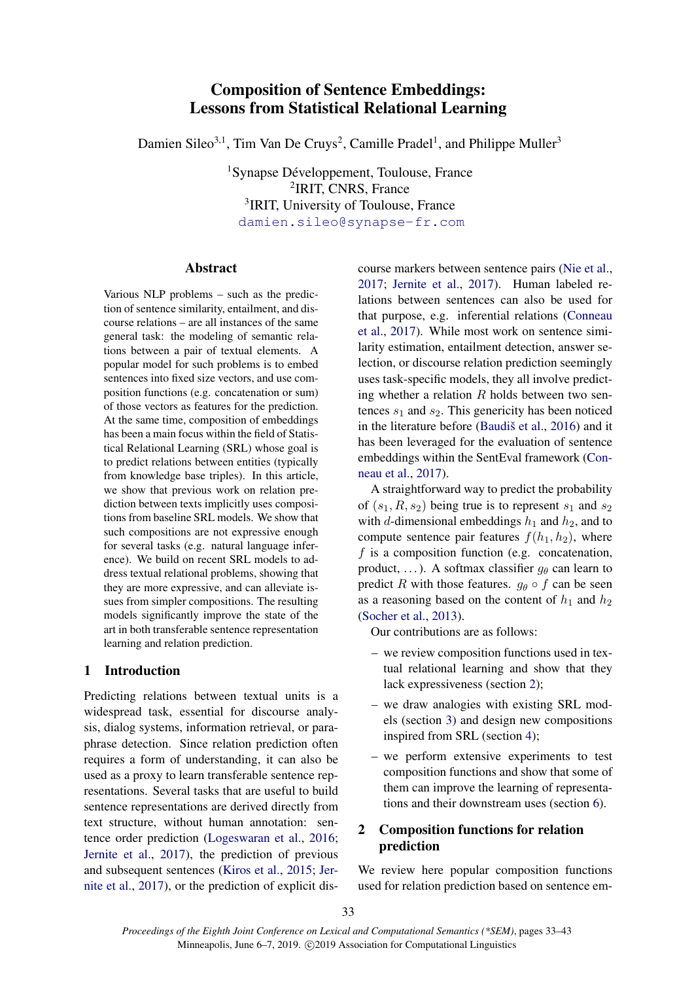# Composition of Sentence Embeddings: Lessons from Statistical Relational Learning

Damien Sileo<sup>3,1</sup>, Tim Van De Cruys<sup>2</sup>, Camille Pradel<sup>1</sup>, and Philippe Muller<sup>3</sup>

<sup>1</sup>Synapse Développement, Toulouse, France 2 IRIT, CNRS, France <sup>3</sup>IRIT, University of Toulouse, France <damien.sileo@synapse-fr.com>

## Abstract

Various NLP problems – such as the prediction of sentence similarity, entailment, and discourse relations – are all instances of the same general task: the modeling of semantic relations between a pair of textual elements. A popular model for such problems is to embed sentences into fixed size vectors, and use composition functions (e.g. concatenation or sum) of those vectors as features for the prediction. At the same time, composition of embeddings has been a main focus within the field of Statistical Relational Learning (SRL) whose goal is to predict relations between entities (typically from knowledge base triples). In this article, we show that previous work on relation prediction between texts implicitly uses compositions from baseline SRL models. We show that such compositions are not expressive enough for several tasks (e.g. natural language inference). We build on recent SRL models to address textual relational problems, showing that they are more expressive, and can alleviate issues from simpler compositions. The resulting models significantly improve the state of the art in both transferable sentence representation learning and relation prediction.

# 1 Introduction

Predicting relations between textual units is a widespread task, essential for discourse analysis, dialog systems, information retrieval, or paraphrase detection. Since relation prediction often requires a form of understanding, it can also be used as a proxy to learn transferable sentence representations. Several tasks that are useful to build sentence representations are derived directly from text structure, without human annotation: sentence order prediction [\(Logeswaran et al.,](#page-9-0) [2016;](#page-9-0) [Jernite et al.,](#page-9-1) [2017\)](#page-9-1), the prediction of previous and subsequent sentences [\(Kiros et al.,](#page-9-2) [2015;](#page-9-2) [Jer](#page-9-1)[nite et al.,](#page-9-1) [2017\)](#page-9-1), or the prediction of explicit discourse markers between sentence pairs [\(Nie et al.,](#page-9-3) [2017;](#page-9-3) [Jernite et al.,](#page-9-1) [2017\)](#page-9-1). Human labeled relations between sentences can also be used for that purpose, e.g. inferential relations [\(Conneau](#page-8-0) [et al.,](#page-8-0) [2017\)](#page-8-0). While most work on sentence similarity estimation, entailment detection, answer selection, or discourse relation prediction seemingly uses task-specific models, they all involve predicting whether a relation  $R$  holds between two sentences  $s_1$  and  $s_2$ . This genericity has been noticed in the literature before (Baudiš et al., [2016\)](#page-8-1) and it has been leveraged for the evaluation of sentence embeddings within the SentEval framework [\(Con](#page-8-0)[neau et al.,](#page-8-0) [2017\)](#page-8-0).

A straightforward way to predict the probability of  $(s_1, R, s_2)$  being true is to represent  $s_1$  and  $s_2$ with d-dimensional embeddings  $h_1$  and  $h_2$ , and to compute sentence pair features  $f(h_1, h_2)$ , where  $f$  is a composition function (e.g. concatenation, product, ...). A softmax classifier  $q_{\theta}$  can learn to predict R with those features.  $g_{\theta} \circ f$  can be seen as a reasoning based on the content of  $h_1$  and  $h_2$ [\(Socher et al.,](#page-10-0) [2013\)](#page-10-0).

Our contributions are as follows:

- we review composition functions used in textual relational learning and show that they lack expressiveness (section [2\)](#page-0-0);
- we draw analogies with existing SRL models (section [3\)](#page-1-0) and design new compositions inspired from SRL (section [4\)](#page-2-0);
- we perform extensive experiments to test composition functions and show that some of them can improve the learning of representations and their downstream uses (section [6\)](#page-4-0).

# <span id="page-0-0"></span>2 Composition functions for relation prediction

We review here popular composition functions used for relation prediction based on sentence em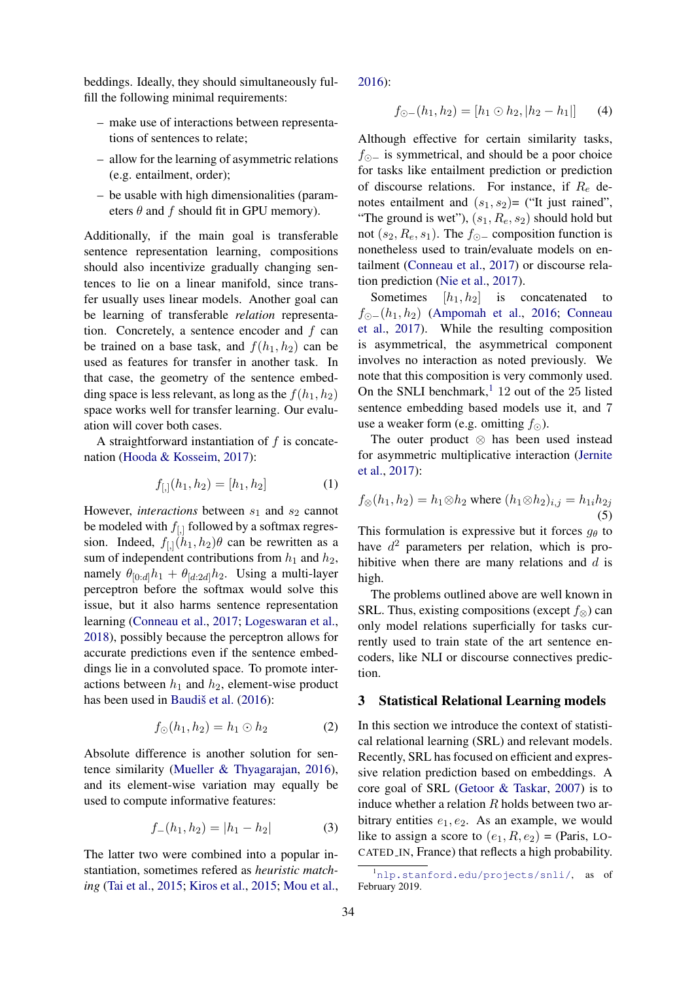beddings. Ideally, they should simultaneously fulfill the following minimal requirements:

- make use of interactions between representations of sentences to relate;
- allow for the learning of asymmetric relations (e.g. entailment, order);
- be usable with high dimensionalities (parameters  $\theta$  and  $f$  should fit in GPU memory).

Additionally, if the main goal is transferable sentence representation learning, compositions should also incentivize gradually changing sentences to lie on a linear manifold, since transfer usually uses linear models. Another goal can be learning of transferable *relation* representation. Concretely, a sentence encoder and  $f$  can be trained on a base task, and  $f(h_1, h_2)$  can be used as features for transfer in another task. In that case, the geometry of the sentence embedding space is less relevant, as long as the  $f(h_1, h_2)$ space works well for transfer learning. Our evaluation will cover both cases.

A straightforward instantiation of  $f$  is concatenation [\(Hooda & Kosseim,](#page-8-2) [2017\)](#page-8-2):

$$
f_{[,]}(h_1, h_2) = [h_1, h_2] \tag{1}
$$

However, *interactions* between  $s_1$  and  $s_2$  cannot be modeled with  $f_{[,]}$  followed by a softmax regression. Indeed,  $f_{[,]}(h_1, h_2)\theta$  can be rewritten as a sum of independent contributions from  $h_1$  and  $h_2$ , namely  $\theta_{[0:d]}h_1 + \theta_{[d:2d]}h_2$ . Using a multi-layer perceptron before the softmax would solve this issue, but it also harms sentence representation learning [\(Conneau et al.,](#page-8-0) [2017;](#page-8-0) [Logeswaran et al.,](#page-9-4) [2018\)](#page-9-4), possibly because the perceptron allows for accurate predictions even if the sentence embeddings lie in a convoluted space. To promote interactions between  $h_1$  and  $h_2$ , element-wise product has been used in Baudiš et al.  $(2016)$ :

$$
f_{\odot}(h_1, h_2) = h_1 \odot h_2 \tag{2}
$$

Absolute difference is another solution for sentence similarity [\(Mueller & Thyagarajan,](#page-9-5) [2016\)](#page-9-5), and its element-wise variation may equally be used to compute informative features:

$$
f_{-}(h_1, h_2) = |h_1 - h_2| \tag{3}
$$

The latter two were combined into a popular instantiation, sometimes refered as *heuristic matching* [\(Tai et al.,](#page-10-1) [2015;](#page-10-1) [Kiros et al.,](#page-9-2) [2015;](#page-9-2) [Mou et al.,](#page-9-6)

[2016\)](#page-9-6):

<span id="page-1-4"></span>
$$
f_{\odot-}(h_1, h_2) = [h_1 \odot h_2, |h_2 - h_1|] \tag{4}
$$

Although effective for certain similarity tasks,  $f_{\odot}$  is symmetrical, and should be a poor choice for tasks like entailment prediction or prediction of discourse relations. For instance, if  $R_e$  denotes entailment and  $(s_1, s_2)$ = ("It just rained", "The ground is wet"),  $(s_1, R_e, s_2)$  should hold but not  $(s_2, R_e, s_1)$ . The  $f_{\odot}$  composition function is nonetheless used to train/evaluate models on entailment [\(Conneau et al.,](#page-8-0) [2017\)](#page-8-0) or discourse relation prediction [\(Nie et al.,](#page-9-3) [2017\)](#page-9-3).

Sometimes  $[h_1, h_2]$  is concatenated  $f_{\odot}$ −(h<sub>1</sub>, h<sub>2</sub>) [\(Ampomah et al.,](#page-8-3) [2016;](#page-8-3) [Conneau](#page-8-0) [et al.,](#page-8-0) [2017\)](#page-8-0). While the resulting composition is asymmetrical, the asymmetrical component involves no interaction as noted previously. We note that this composition is very commonly used. On the SNLI benchmark, $1\ 12$  $1\ 12$  out of the 25 listed sentence embedding based models use it, and 7 use a weaker form (e.g. omitting  $f_{\odot}$ ).

The outer product ⊗ has been used instead for asymmetric multiplicative interaction [\(Jernite](#page-9-1) [et al.,](#page-9-1) [2017\)](#page-9-1):

$$
f_{\otimes}(h_1, h_2) = h_1 \otimes h_2 \text{ where } (h_1 \otimes h_2)_{i,j} = h_{1i}h_{2j}
$$
\n(5)

This formulation is expressive but it forces  $g_{\theta}$  to have  $d^2$  parameters per relation, which is prohibitive when there are many relations and  $d$  is high.

The problems outlined above are well known in SRL. Thus, existing compositions (except  $f_{\otimes}$ ) can only model relations superficially for tasks currently used to train state of the art sentence encoders, like NLI or discourse connectives prediction.

## <span id="page-1-2"></span><span id="page-1-0"></span>3 Statistical Relational Learning models

<span id="page-1-3"></span>In this section we introduce the context of statistical relational learning (SRL) and relevant models. Recently, SRL has focused on efficient and expressive relation prediction based on embeddings. A core goal of SRL [\(Getoor & Taskar,](#page-8-4) [2007\)](#page-8-4) is to induce whether a relation  $R$  holds between two arbitrary entities  $e_1, e_2$ . As an example, we would like to assign a score to  $(e_1, R, e_2)$  = (Paris, LO-CATED IN, France) that reflects a high probability.

<span id="page-1-1"></span> $\frac{1}{\pi}$ <nlp.stanford.edu/projects/snli/>, as of February 2019.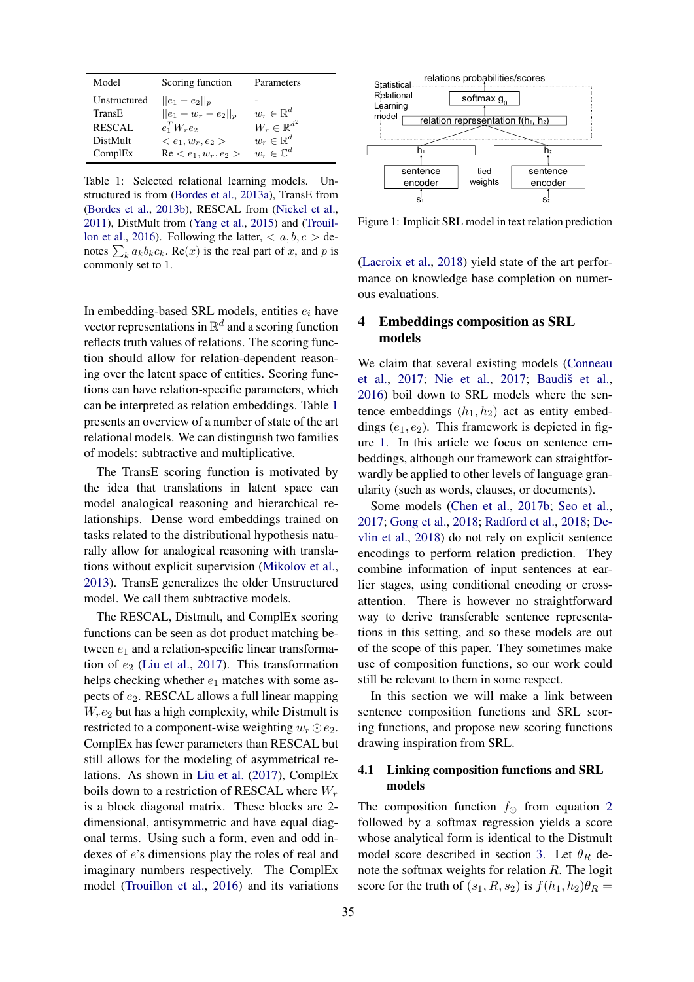<span id="page-2-1"></span>

| Model         | Scoring function                         | Parameters                 |
|---------------|------------------------------------------|----------------------------|
| Unstructured  | $  e_1 - e_2  _p$                        |                            |
| TransE        | $  e_1 + w_r - e_2  _p$                  | $w_r \in \mathbb{R}^d$     |
| <b>RESCAL</b> | $e_1^TW_re_2$                            | $W_r \in \mathbb{R}^{d^2}$ |
| DistMult      | $\langle e_1, w_r, e_2 \rangle$          | $w_r \in \mathbb{R}^d$     |
| ComplEx       | $\text{Re} < e_1, w_r, \overline{e_2} >$ | $w_r \in \mathbb{C}^d$     |

Table 1: Selected relational learning models. Unstructured is from [\(Bordes et al.,](#page-8-5) [2013a\)](#page-8-5), TransE from [\(Bordes et al.,](#page-8-6) [2013b\)](#page-8-6), RESCAL from [\(Nickel et al.,](#page-9-7) [2011\)](#page-9-7), DistMult from [\(Yang et al.,](#page-10-2) [2015\)](#page-10-2) and [\(Trouil](#page-10-3)[lon et al.,](#page-10-3) [2016\)](#page-10-3). Following the latter,  $\langle a, b, c \rangle$  denotes  $\sum_k a_k b_k c_k$ . Re $(x)$  is the real part of x, and p is commonly set to 1.

In embedding-based SRL models, entities  $e_i$  have vector representations in  $\mathbb{R}^d$  and a scoring function reflects truth values of relations. The scoring function should allow for relation-dependent reasoning over the latent space of entities. Scoring functions can have relation-specific parameters, which can be interpreted as relation embeddings. Table [1](#page-2-1) presents an overview of a number of state of the art relational models. We can distinguish two families of models: subtractive and multiplicative.

The TransE scoring function is motivated by the idea that translations in latent space can model analogical reasoning and hierarchical relationships. Dense word embeddings trained on tasks related to the distributional hypothesis naturally allow for analogical reasoning with translations without explicit supervision [\(Mikolov et al.,](#page-9-8) [2013\)](#page-9-8). TransE generalizes the older Unstructured model. We call them subtractive models.

The RESCAL, Distmult, and ComplEx scoring functions can be seen as dot product matching between  $e_1$  and a relation-specific linear transformation of  $e_2$  [\(Liu et al.,](#page-9-9) [2017\)](#page-9-9). This transformation helps checking whether  $e_1$  matches with some aspects of  $e_2$ . RESCAL allows a full linear mapping  $W_r e_2$  but has a high complexity, while Distmult is restricted to a component-wise weighting  $w_r \odot e_2$ . ComplEx has fewer parameters than RESCAL but still allows for the modeling of asymmetrical relations. As shown in [Liu et al.](#page-9-9) [\(2017\)](#page-9-9), ComplEx boils down to a restriction of RESCAL where  $W_r$ is a block diagonal matrix. These blocks are 2 dimensional, antisymmetric and have equal diagonal terms. Using such a form, even and odd indexes of e's dimensions play the roles of real and imaginary numbers respectively. The ComplEx model [\(Trouillon et al.,](#page-10-3) [2016\)](#page-10-3) and its variations

<span id="page-2-2"></span>

Figure 1: Implicit SRL model in text relation prediction

[\(Lacroix et al.,](#page-9-10) [2018\)](#page-9-10) yield state of the art performance on knowledge base completion on numerous evaluations.

## <span id="page-2-0"></span>4 Embeddings composition as SRL models

We claim that several existing models [\(Conneau](#page-8-0) [et al.,](#page-8-0) [2017;](#page-9-3) [Nie et al.,](#page-9-3) 2017; Baudiš et al., [2016\)](#page-8-1) boil down to SRL models where the sentence embeddings  $(h_1, h_2)$  act as entity embeddings  $(e_1, e_2)$ . This framework is depicted in figure [1.](#page-2-2) In this article we focus on sentence embeddings, although our framework can straightforwardly be applied to other levels of language granularity (such as words, clauses, or documents).

Some models [\(Chen et al.,](#page-8-7) [2017b;](#page-8-7) [Seo et al.,](#page-9-11) [2017;](#page-9-11) [Gong et al.,](#page-8-8) [2018;](#page-8-8) [Radford et al.,](#page-9-12) [2018;](#page-9-12) [De](#page-8-9)[vlin et al.,](#page-8-9) [2018\)](#page-8-9) do not rely on explicit sentence encodings to perform relation prediction. They combine information of input sentences at earlier stages, using conditional encoding or crossattention. There is however no straightforward way to derive transferable sentence representations in this setting, and so these models are out of the scope of this paper. They sometimes make use of composition functions, so our work could still be relevant to them in some respect.

In this section we will make a link between sentence composition functions and SRL scoring functions, and propose new scoring functions drawing inspiration from SRL.

## 4.1 Linking composition functions and SRL models

The composition function  $f_{\odot}$  from equation [2](#page-1-2) followed by a softmax regression yields a score whose analytical form is identical to the Distmult model score described in section [3.](#page-1-0) Let  $\theta_R$  denote the softmax weights for relation  $R$ . The logit score for the truth of  $(s_1, R, s_2)$  is  $f(h_1, h_2)\theta_R =$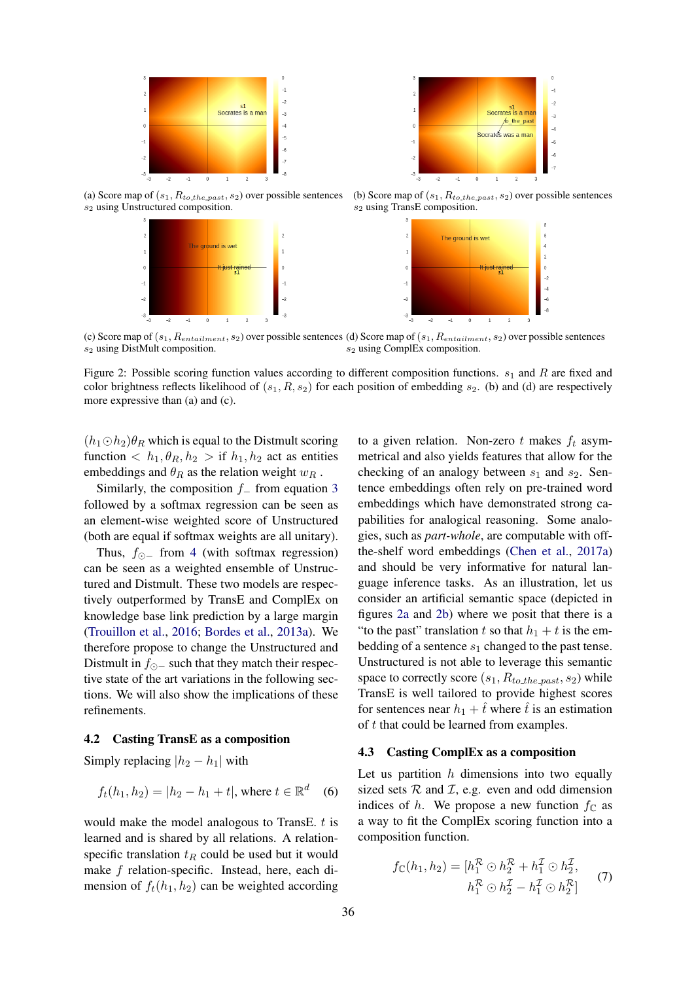<span id="page-3-0"></span>

(a) Score map of  $(s_1, R_{to\_the\_past}, s_2)$  over possible sentences s<sup>2</sup> using Unstructured composition.





(b) Score map of  $(s_1, R_{to-the-past}, s_2)$  over possible sentences s<sup>2</sup> using TransE composition.



(c) Score map of  $(s_1, R_{entailment}, s_2)$  over possible sentences (d) Score map of  $(s_1, R_{entailment}, s_2)$  over possible sentences s<sup>2</sup> using DistMult composition. s<sup>2</sup> using ComplEx composition.

Figure 2: Possible scoring function values according to different composition functions.  $s_1$  and R are fixed and color brightness reflects likelihood of  $(s_1, R, s_2)$  for each position of embedding  $s_2$ . (b) and (d) are respectively more expressive than (a) and (c).

 $(h_1 \odot h_2)\theta_R$  which is equal to the Distmult scoring function  $\langle h_1, \theta_R, h_2 \rangle$  if  $h_1, h_2$  act as entities embeddings and  $\theta_R$  as the relation weight  $w_R$ .

Similarly, the composition  $f_$  from equation [3](#page-1-3) followed by a softmax regression can be seen as an element-wise weighted score of Unstructured (both are equal if softmax weights are all unitary).

Thus,  $f_{\odot}$  from [4](#page-1-4) (with softmax regression) can be seen as a weighted ensemble of Unstructured and Distmult. These two models are respectively outperformed by TransE and ComplEx on knowledge base link prediction by a large margin [\(Trouillon et al.,](#page-10-3) [2016;](#page-10-3) [Bordes et al.,](#page-8-5) [2013a\)](#page-8-5). We therefore propose to change the Unstructured and Distmult in  $f_{\odot}$  such that they match their respective state of the art variations in the following sections. We will also show the implications of these refinements.

#### 4.2 Casting TransE as a composition

Simply replacing  $|h_2 - h_1|$  with

$$
f_t(h_1, h_2) = |h_2 - h_1 + t|
$$
, where  $t \in \mathbb{R}^d$  (6)

would make the model analogous to TransE.  $t$  is learned and is shared by all relations. A relationspecific translation  $t_R$  could be used but it would make f relation-specific. Instead, here, each dimension of  $f_t(h_1, h_2)$  can be weighted according

to a given relation. Non-zero t makes  $f_t$  asymmetrical and also yields features that allow for the checking of an analogy between  $s_1$  and  $s_2$ . Sentence embeddings often rely on pre-trained word embeddings which have demonstrated strong capabilities for analogical reasoning. Some analogies, such as *part-whole*, are computable with offthe-shelf word embeddings [\(Chen et al.,](#page-8-10) [2017a\)](#page-8-10) and should be very informative for natural language inference tasks. As an illustration, let us consider an artificial semantic space (depicted in figures [2a](#page-3-0) and [2b\)](#page-3-0) where we posit that there is a "to the past" translation t so that  $h_1 + t$  is the embedding of a sentence  $s_1$  changed to the past tense. Unstructured is not able to leverage this semantic space to correctly score  $(s_1, R_{to\_the\_past}, s_2)$  while TransE is well tailored to provide highest scores for sentences near  $h_1 + t$  where t is an estimation of t that could be learned from examples.

#### 4.3 Casting ComplEx as a composition

Let us partition  $h$  dimensions into two equally sized sets  $R$  and  $I$ , e.g. even and odd dimension indices of h. We propose a new function  $f_{\mathbb{C}}$  as a way to fit the ComplEx scoring function into a composition function.

$$
f_{\mathbb{C}}(h_1, h_2) = [h_1^{\mathcal{R}} \odot h_2^{\mathcal{R}} + h_1^{\mathcal{I}} \odot h_2^{\mathcal{I}}, h_1^{\mathcal{R}} \odot h_2^{\mathcal{I}} - h_1^{\mathcal{I}} \odot h_2^{\mathcal{R}}]
$$
(7)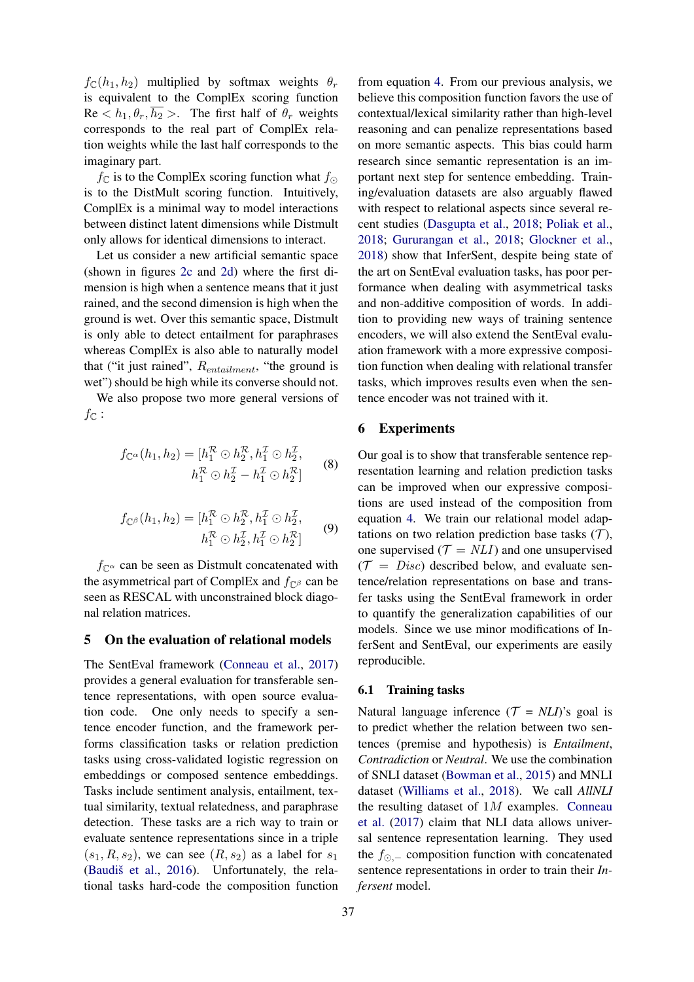$f_{\mathbb{C}}(h_1, h_2)$  multiplied by softmax weights  $\theta_r$ is equivalent to the ComplEx scoring function  $\text{Re} < h_1, \theta_r, \overline{h_2} >$ . The first half of  $\theta_r$  weights corresponds to the real part of ComplEx relation weights while the last half corresponds to the imaginary part.

 $f_{\mathbb{C}}$  is to the ComplEx scoring function what  $f_{\mathbb{C}}$ is to the DistMult scoring function. Intuitively, ComplEx is a minimal way to model interactions between distinct latent dimensions while Distmult only allows for identical dimensions to interact.

Let us consider a new artificial semantic space (shown in figures [2c](#page-3-0) and [2d\)](#page-3-0) where the first dimension is high when a sentence means that it just rained, and the second dimension is high when the ground is wet. Over this semantic space, Distmult is only able to detect entailment for paraphrases whereas ComplEx is also able to naturally model that ("it just rained",  $R_{entailment}$ , "the ground is wet") should be high while its converse should not.

We also propose two more general versions of  $f_{\mathbb{C}}$  :

$$
f_{\mathbb{C}^{\alpha}}(h_1, h_2) = [h_1^{\mathcal{R}} \odot h_2^{\mathcal{R}}, h_1^{\mathcal{I}} \odot h_2^{\mathcal{I}},
$$
  

$$
h_1^{\mathcal{R}} \odot h_2^{\mathcal{I}} - h_1^{\mathcal{I}} \odot h_2^{\mathcal{R}}]
$$
 (8)

$$
f_{\mathbb{C}^{\beta}}(h_1, h_2) = [h_1^{\mathcal{R}} \odot h_2^{\mathcal{R}}, h_1^{\mathcal{I}} \odot h_2^{\mathcal{I}}, h_1^{\mathcal{R}} \odot h_2^{\mathcal{I}}, h_1^{\mathcal{I}} \odot h_2^{\mathcal{R}}]
$$
(9)

 $f_{\mathbb{C}^{\alpha}}$  can be seen as Distmult concatenated with the asymmetrical part of ComplEx and  $f_{\text{C}\beta}$  can be seen as RESCAL with unconstrained block diagonal relation matrices.

### 5 On the evaluation of relational models

The SentEval framework [\(Conneau et al.,](#page-8-0) [2017\)](#page-8-0) provides a general evaluation for transferable sentence representations, with open source evaluation code. One only needs to specify a sentence encoder function, and the framework performs classification tasks or relation prediction tasks using cross-validated logistic regression on embeddings or composed sentence embeddings. Tasks include sentiment analysis, entailment, textual similarity, textual relatedness, and paraphrase detection. These tasks are a rich way to train or evaluate sentence representations since in a triple  $(s_1, R, s_2)$ , we can see  $(R, s_2)$  as a label for  $s_1$ (Baudiš et al.,  $2016$ ). Unfortunately, the relational tasks hard-code the composition function

from equation [4.](#page-1-4) From our previous analysis, we believe this composition function favors the use of contextual/lexical similarity rather than high-level reasoning and can penalize representations based on more semantic aspects. This bias could harm research since semantic representation is an important next step for sentence embedding. Training/evaluation datasets are also arguably flawed with respect to relational aspects since several recent studies [\(Dasgupta et al.,](#page-8-11) [2018;](#page-8-11) [Poliak et al.,](#page-9-13) [2018;](#page-9-13) [Gururangan et al.,](#page-8-12) [2018;](#page-8-12) [Glockner et al.,](#page-8-13) [2018\)](#page-8-13) show that InferSent, despite being state of the art on SentEval evaluation tasks, has poor performance when dealing with asymmetrical tasks and non-additive composition of words. In addition to providing new ways of training sentence encoders, we will also extend the SentEval evaluation framework with a more expressive composition function when dealing with relational transfer tasks, which improves results even when the sentence encoder was not trained with it.

## <span id="page-4-0"></span>6 Experiments

Our goal is to show that transferable sentence representation learning and relation prediction tasks can be improved when our expressive compositions are used instead of the composition from equation [4.](#page-1-4) We train our relational model adaptations on two relation prediction base tasks  $(T)$ , one supervised ( $\mathcal{T} = \text{NLI}$ ) and one unsupervised  $(\mathcal{T} = Disc)$  described below, and evaluate sentence/relation representations on base and transfer tasks using the SentEval framework in order to quantify the generalization capabilities of our models. Since we use minor modifications of InferSent and SentEval, our experiments are easily reproducible.

#### 6.1 Training tasks

Natural language inference  $(T = NLI)$ 's goal is to predict whether the relation between two sentences (premise and hypothesis) is *Entailment*, *Contradiction* or *Neutral*. We use the combination of SNLI dataset [\(Bowman et al.,](#page-8-14) [2015\)](#page-8-14) and MNLI dataset [\(Williams et al.,](#page-10-4) [2018\)](#page-10-4). We call *AllNLI* the resulting dataset of  $1M$  examples. [Conneau](#page-8-0) [et al.](#page-8-0) [\(2017\)](#page-8-0) claim that NLI data allows universal sentence representation learning. They used the  $f_{\odot}$  composition function with concatenated sentence representations in order to train their *Infersent* model.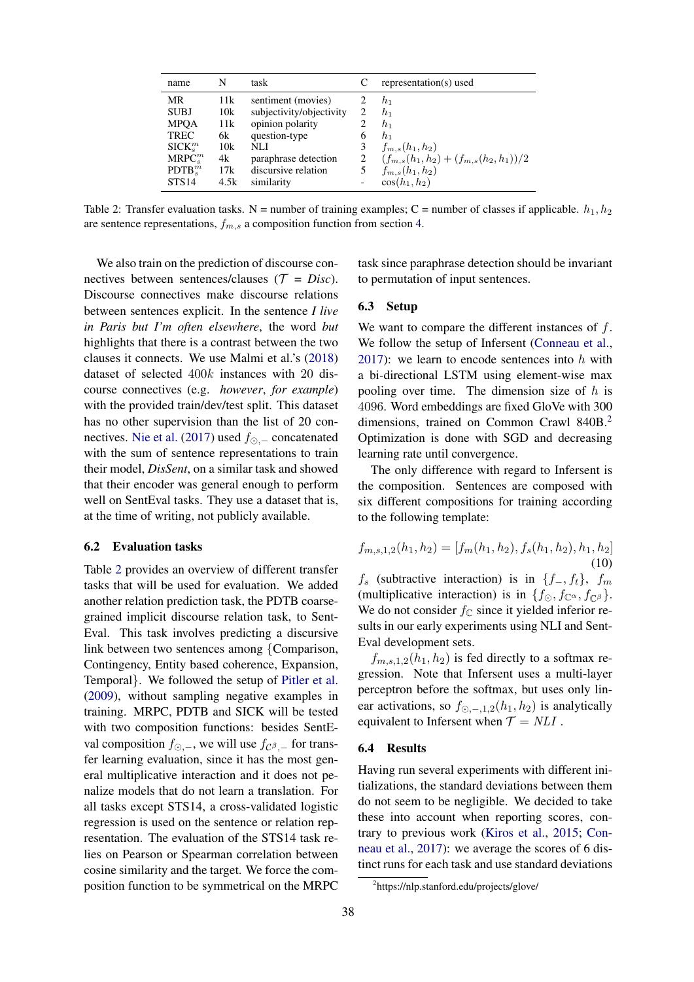<span id="page-5-0"></span>

| name                                                                                      | N                                           | task                                                                                                                                      |                            | representation(s) used                                                                                                      |
|-------------------------------------------------------------------------------------------|---------------------------------------------|-------------------------------------------------------------------------------------------------------------------------------------------|----------------------------|-----------------------------------------------------------------------------------------------------------------------------|
| MR<br><b>SUBJ</b><br><b>MPOA</b><br><b>TREC</b><br>$SICK^m_s$<br>$MRPC_s^m$<br>$PDTB_s^m$ | 11k<br>10k<br>11k<br>6k<br>10k<br>4k<br>17k | sentiment (movies)<br>subjectivity/objectivity<br>opinion polarity<br>question-type<br>NLI<br>paraphrase detection<br>discursive relation | 2<br>2<br>6<br>3<br>2<br>5 | $h_1$<br>$h_1$<br>$h_1$<br>$h_1$<br>$f_{m,s}(h_1,h_2)$<br>$(f_{m,s}(h_1,h_2) + (f_{m,s}(h_2,h_1))/2)$<br>$f_{m,s}(h_1,h_2)$ |
| <b>STS14</b>                                                                              | 4.5k                                        | similarity                                                                                                                                | -                          | $\cos(h_1, h_2)$                                                                                                            |

Table 2: Transfer evaluation tasks. N = number of training examples; C = number of classes if applicable.  $h_1, h_2$ are sentence representations,  $f_{m,s}$  a composition function from section [4.](#page-2-0)

We also train on the prediction of discourse connectives between sentences/clauses ( $\mathcal{T} = Disc$ ). Discourse connectives make discourse relations between sentences explicit. In the sentence *I live in Paris but I'm often elsewhere*, the word *but* highlights that there is a contrast between the two clauses it connects. We use Malmi et al.'s [\(2018\)](#page-9-14) dataset of selected 400k instances with 20 discourse connectives (e.g. *however*, *for example*) with the provided train/dev/test split. This dataset has no other supervision than the list of 20 con-nectives. [Nie et al.](#page-9-3) [\(2017\)](#page-9-3) used  $f_{\odot}$  – concatenated with the sum of sentence representations to train their model, *DisSent*, on a similar task and showed that their encoder was general enough to perform well on SentEval tasks. They use a dataset that is, at the time of writing, not publicly available.

## 6.2 Evaluation tasks

Table [2](#page-5-0) provides an overview of different transfer tasks that will be used for evaluation. We added another relation prediction task, the PDTB coarsegrained implicit discourse relation task, to Sent-Eval. This task involves predicting a discursive link between two sentences among {Comparison, Contingency, Entity based coherence, Expansion, Temporal}. We followed the setup of [Pitler et al.](#page-9-15) [\(2009\)](#page-9-15), without sampling negative examples in training. MRPC, PDTB and SICK will be tested with two composition functions: besides SentEval composition  $f_{\odot,-}$ , we will use  $f_{\mathcal{C}^{\beta},-}$  for transfer learning evaluation, since it has the most general multiplicative interaction and it does not penalize models that do not learn a translation. For all tasks except STS14, a cross-validated logistic regression is used on the sentence or relation representation. The evaluation of the STS14 task relies on Pearson or Spearman correlation between cosine similarity and the target. We force the composition function to be symmetrical on the MRPC task since paraphrase detection should be invariant to permutation of input sentences.

### 6.3 Setup

We want to compare the different instances of f. We follow the setup of Infersent [\(Conneau et al.,](#page-8-0) [2017\)](#page-8-0): we learn to encode sentences into  $h$  with a bi-directional LSTM using element-wise max pooling over time. The dimension size of  $h$  is 4096. Word embeddings are fixed GloVe with 300 dimensions, trained on Common Crawl 840B.<sup>[2](#page-5-1)</sup> Optimization is done with SGD and decreasing learning rate until convergence.

The only difference with regard to Infersent is the composition. Sentences are composed with six different compositions for training according to the following template:

$$
f_{m,s,1,2}(h_1,h_2) = [f_m(h_1,h_2), f_s(h_1,h_2), h_1,h_2]
$$
  
(10)

 $f_s$  (subtractive interaction) is in  $\{f_-, f_t\}$ ,  $f_m$ (multiplicative interaction) is in  $\{f_{\odot}, f_{\mathbb{C}^{\alpha}}, f_{\mathbb{C}^{\beta}}\}.$ We do not consider  $f_{\mathbb{C}}$  since it yielded inferior results in our early experiments using NLI and Sent-Eval development sets.

 $f_{m,s,1,2}(h_1, h_2)$  is fed directly to a softmax regression. Note that Infersent uses a multi-layer perceptron before the softmax, but uses only linear activations, so  $f_{\odot,-,1,2}(h_1, h_2)$  is analytically equivalent to Infersent when  $\mathcal{T} = NLI$ .

#### 6.4 Results

Having run several experiments with different initializations, the standard deviations between them do not seem to be negligible. We decided to take these into account when reporting scores, contrary to previous work [\(Kiros et al.,](#page-9-2) [2015;](#page-9-2) [Con](#page-8-0)[neau et al.,](#page-8-0) [2017\)](#page-8-0): we average the scores of 6 distinct runs for each task and use standard deviations

<span id="page-5-1"></span><sup>2</sup> https://nlp.stanford.edu/projects/glove/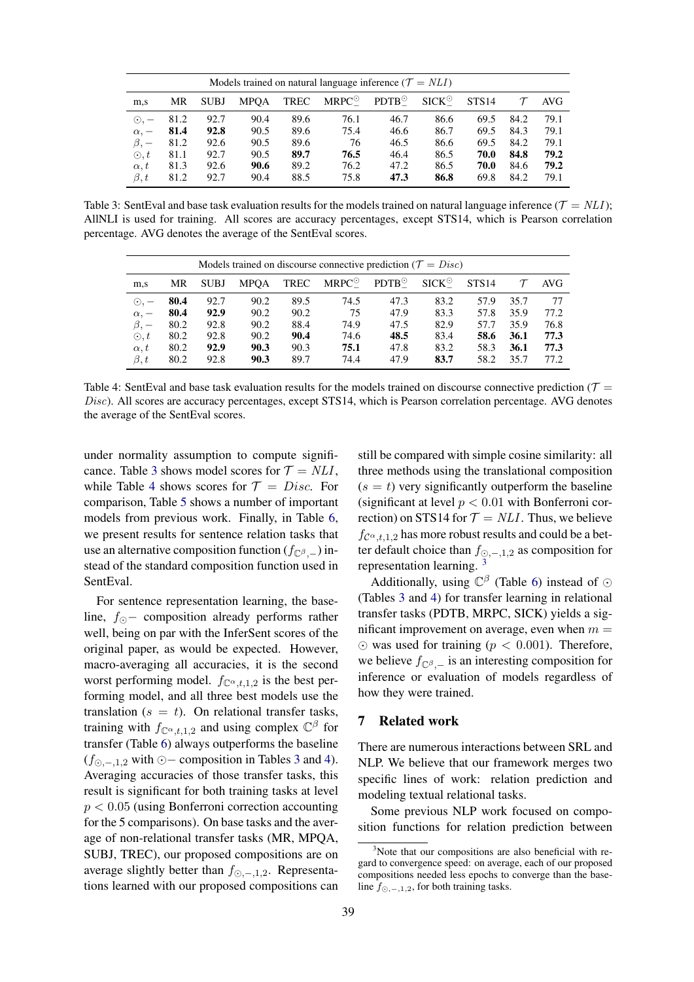<span id="page-6-0"></span>

| Models trained on natural language inference ( $\mathcal{T} = NLI$ ) |      |             |             |             |                |                |                |                   |      |      |
|----------------------------------------------------------------------|------|-------------|-------------|-------------|----------------|----------------|----------------|-------------------|------|------|
| m,s                                                                  | MR   | <b>SUBJ</b> | <b>MPOA</b> | <b>TREC</b> | $MRPC^{\odot}$ | $PDTB^{\odot}$ | $SICK^{\odot}$ | STS <sub>14</sub> |      | AVG  |
| $\odot$ , $-$                                                        | 81.2 | 92.7        | 90.4        | 89.6        | 76.1           | 46.7           | 86.6           | 69.5              | 84.2 | 79.1 |
| $\alpha$ , $-$                                                       | 81.4 | 92.8        | 90.5        | 89.6        | 75.4           | 46.6           | 86.7           | 69.5              | 84.3 | 79.1 |
| $\beta$ , $-$                                                        | 81.2 | 92.6        | 90.5        | 89.6        | 76             | 46.5           | 86.6           | 69.5              | 84.2 | 79.1 |
| $\odot$ , t                                                          | 81.1 | 92.7        | 90.5        | 89.7        | 76.5           | 46.4           | 86.5           | 70.0              | 84.8 | 79.2 |
| $\alpha, t$                                                          | 81.3 | 92.6        | 90.6        | 89.2        | 76.2           | 47.2           | 86.5           | 70.0              | 84.6 | 79.2 |
| $\beta, t$                                                           | 81.2 | 92.7        | 90.4        | 88.5        | 75.8           | 47.3           | 86.8           | 69.8              | 84.2 | 79.1 |

Table 3: SentEval and base task evaluation results for the models trained on natural language inference ( $\mathcal{T} = NLI$ ); AllNLI is used for training. All scores are accuracy percentages, except STS14, which is Pearson correlation percentage. AVG denotes the average of the SentEval scores.

<span id="page-6-1"></span>

| Models trained on discourse connective prediction ( $\mathcal{T} = Disc$ ) |      |             |             |      |                |                |                |       |      |      |
|----------------------------------------------------------------------------|------|-------------|-------------|------|----------------|----------------|----------------|-------|------|------|
| m,s                                                                        | MR   | <b>SUBJ</b> | <b>MPOA</b> | TREC | $MRPC^{\odot}$ | $PDTB^{\odot}$ | $SICK^{\odot}$ | STS14 |      | AVG  |
| $\odot$ , $-$                                                              | 80.4 | 92.7        | 90.2        | 89.5 | 74.5           | 47.3           | 83.2           | 57.9  | 35.7 | 77   |
| $\alpha$ , $-$                                                             | 80.4 | 92.9        | 90.2        | 90.2 | 75             | 47.9           | 83.3           | 57.8  | 35.9 | 77.2 |
| $\beta$ , $-$                                                              | 80.2 | 92.8        | 90.2        | 88.4 | 74.9           | 47.5           | 82.9           | 57.7  | 35.9 | 76.8 |
| $\odot$ , t                                                                | 80.2 | 92.8        | 90.2        | 90.4 | 74.6           | 48.5           | 83.4           | 58.6  | 36.1 | 77.3 |
| $\alpha, t$                                                                | 80.2 | 92.9        | 90.3        | 90.3 | 75.1           | 47.8           | 83.2           | 58.3  | 36.1 | 77.3 |
| $\beta, t$                                                                 | 80.2 | 92.8        | 90.3        | 89.7 | 74.4           | 47.9           | 83.7           | 58.2  | 35.7 | 77.2 |

Table 4: SentEval and base task evaluation results for the models trained on discourse connective prediction ( $\mathcal{T}$  = Disc). All scores are accuracy percentages, except STS14, which is Pearson correlation percentage. AVG denotes the average of the SentEval scores.

under normality assumption to compute signifi-cance. Table [3](#page-6-0) shows model scores for  $\mathcal{T} = NLI$ , while Table [4](#page-6-1) shows scores for  $\mathcal{T} = Disc$ . For comparison, Table [5](#page-7-0) shows a number of important models from previous work. Finally, in Table [6,](#page-7-1) we present results for sentence relation tasks that use an alternative composition function  $(f_{\mathbb{C}^{\beta}-})$  instead of the standard composition function used in SentEval.

For sentence representation learning, the baseline,  $f_{\odot}$  − composition already performs rather well, being on par with the InferSent scores of the original paper, as would be expected. However, macro-averaging all accuracies, it is the second worst performing model.  $f_{\mathbb{C}^{\alpha},t,1,2}$  is the best performing model, and all three best models use the translation ( $s = t$ ). On relational transfer tasks, training with  $f_{\mathbb{C}^{\alpha},t,1,2}$  and using complex  $\mathbb{C}^{\beta}$  for transfer (Table [6\)](#page-7-1) always outperforms the baseline  $(f_{\odot,-,1,2}$  with  $\odot$  − composition in Tables [3](#page-6-0) and [4\)](#page-6-1). Averaging accuracies of those transfer tasks, this result is significant for both training tasks at level  $p < 0.05$  (using Bonferroni correction accounting for the 5 comparisons). On base tasks and the average of non-relational transfer tasks (MR, MPQA, SUBJ, TREC), our proposed compositions are on average slightly better than  $f_{\odot,-,1,2}$ . Representations learned with our proposed compositions can

still be compared with simple cosine similarity: all three methods using the translational composition  $(s = t)$  very significantly outperform the baseline (significant at level  $p < 0.01$  with Bonferroni correction) on STS14 for  $\mathcal{T} = NLI$ . Thus, we believe  $f_{\mathcal{C}^{\alpha},t,1,2}$  has more robust results and could be a better default choice than  $f_{\odot,-,1,2}$  as composition for representation learning. [3](#page-6-2)

Additionally, using  $\mathbb{C}^{\beta}$  (Table [6\)](#page-7-1) instead of  $\odot$ (Tables [3](#page-6-0) and [4\)](#page-6-1) for transfer learning in relational transfer tasks (PDTB, MRPC, SICK) yields a significant improvement on average, even when  $m =$  $\odot$  was used for training ( $p < 0.001$ ). Therefore, we believe  $f_{\mathbb{C}^{\beta}-}$  is an interesting composition for inference or evaluation of models regardless of how they were trained.

# 7 Related work

There are numerous interactions between SRL and NLP. We believe that our framework merges two specific lines of work: relation prediction and modeling textual relational tasks.

Some previous NLP work focused on composition functions for relation prediction between

<span id="page-6-2"></span> $3$ Note that our compositions are also beneficial with regard to convergence speed: on average, each of our proposed compositions needed less epochs to converge than the baseline  $f_{\odot,-,1,2}$ , for both training tasks.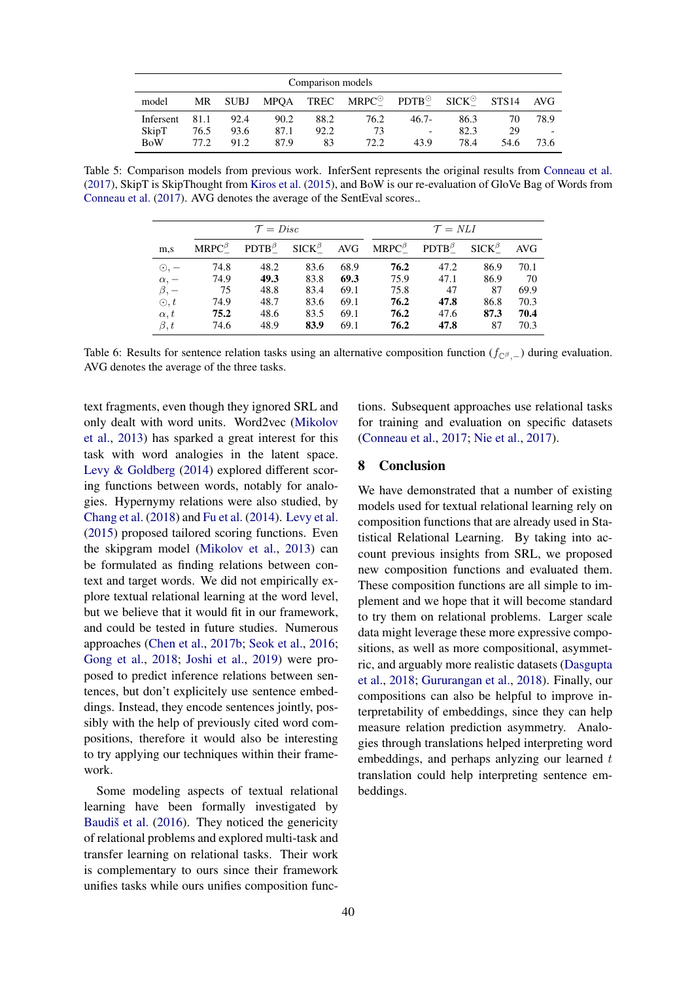<span id="page-7-0"></span>

| Comparison models |      |             |      |      |                                                               |          |                |       |      |  |  |
|-------------------|------|-------------|------|------|---------------------------------------------------------------|----------|----------------|-------|------|--|--|
| model             | MR   | <b>SUBJ</b> |      |      | $MPQA$ TREC $MRPC^{\odot}$ PDTB <sup><math>\odot</math></sup> |          | $SICK^{\odot}$ | STS14 | AVG  |  |  |
| Infersent         | 81.1 | 92.4        | 90.2 | 88.2 | 76.2                                                          | $46.7 -$ | 86.3           | 70    | 78.9 |  |  |
| SkipT             | 76.5 | 93.6        | 87.1 | 92.2 | 73                                                            |          | 82.3           | 29    |      |  |  |
| <b>BoW</b>        | 77.2 | 91.2        | 87.9 | 83   | 72.2                                                          | 43.9     | 78.4           | 54.6  | 73.6 |  |  |

<span id="page-7-1"></span>Table 5: Comparison models from previous work. InferSent represents the original results from [Conneau et al.](#page-8-0) [\(2017\)](#page-8-0), SkipT is SkipThought from [Kiros et al.](#page-9-2) [\(2015\)](#page-9-2), and BoW is our re-evaluation of GloVe Bag of Words from [Conneau et al.](#page-8-0) [\(2017\)](#page-8-0). AVG denotes the average of the SentEval scores..

|                          |                | $\mathcal{T} = Disc$ |      |      | $\mathcal{T} = NLI$                              |                         |                    |            |  |
|--------------------------|----------------|----------------------|------|------|--------------------------------------------------|-------------------------|--------------------|------------|--|
| m,s                      | $MRPC^{\beta}$ |                      |      |      | $PDTB^{\beta}$ $SICK^{\beta}$ AVG $MRPC^{\beta}$ | $\mathbf{PDTB}^\beta_-$ | $SICK_{-}^{\beta}$ | <b>AVG</b> |  |
| $\odot$ , $-$            | 74.8           | 48.2                 | 83.6 | 68.9 | 76.2                                             | 47.2                    | 86.9               | 70.1       |  |
| $\alpha, -\beta, -\beta$ | 74.9           | 49.3                 | 83.8 | 69.3 | 75.9                                             | 47.1                    | 86.9               | 70         |  |
|                          | 75             | 48.8                 | 83.4 | 69.1 | 75.8                                             | 47                      | 87                 | 69.9       |  |
| $\odot, t$               | 74.9           | 48.7                 | 83.6 | 69.1 | 76.2                                             | 47.8                    | 86.8               | 70.3       |  |
| $\alpha, t$              | 75.2           | 48.6                 | 83.5 | 69.1 | 76.2                                             | 47.6                    | 87.3               | 70.4       |  |
| $\beta, t$               | 74.6           | 48.9                 | 83.9 | 69.1 | 76.2                                             | 47.8                    | 87                 | 70.3       |  |

Table 6: Results for sentence relation tasks using an alternative composition function ( $f_{\mathbb{C}^\beta,-}$ ) during evaluation. AVG denotes the average of the three tasks.

text fragments, even though they ignored SRL and only dealt with word units. Word2vec [\(Mikolov](#page-9-8) [et al.,](#page-9-8) [2013\)](#page-9-8) has sparked a great interest for this task with word analogies in the latent space. [Levy & Goldberg](#page-9-16) [\(2014\)](#page-9-16) explored different scoring functions between words, notably for analogies. Hypernymy relations were also studied, by [Chang et al.](#page-8-15) [\(2018\)](#page-8-15) and [Fu et al.](#page-8-16) [\(2014\)](#page-8-16). [Levy et al.](#page-9-17) [\(2015\)](#page-9-17) proposed tailored scoring functions. Even the skipgram model [\(Mikolov et al.,](#page-9-8) [2013\)](#page-9-8) can be formulated as finding relations between context and target words. We did not empirically explore textual relational learning at the word level, but we believe that it would fit in our framework, and could be tested in future studies. Numerous approaches [\(Chen et al.,](#page-8-7) [2017b;](#page-8-7) [Seok et al.,](#page-9-18) [2016;](#page-9-18) [Gong et al.,](#page-8-8) [2018;](#page-8-8) [Joshi et al.,](#page-9-19) [2019\)](#page-9-19) were proposed to predict inference relations between sentences, but don't explicitely use sentence embeddings. Instead, they encode sentences jointly, possibly with the help of previously cited word compositions, therefore it would also be interesting to try applying our techniques within their framework.

Some modeling aspects of textual relational learning have been formally investigated by Baudiš et al.  $(2016)$ . They noticed the genericity of relational problems and explored multi-task and transfer learning on relational tasks. Their work is complementary to ours since their framework unifies tasks while ours unifies composition func-

tions. Subsequent approaches use relational tasks for training and evaluation on specific datasets [\(Conneau et al.,](#page-8-0) [2017;](#page-8-0) [Nie et al.,](#page-9-3) [2017\)](#page-9-3).

# 8 Conclusion

We have demonstrated that a number of existing models used for textual relational learning rely on composition functions that are already used in Statistical Relational Learning. By taking into account previous insights from SRL, we proposed new composition functions and evaluated them. These composition functions are all simple to implement and we hope that it will become standard to try them on relational problems. Larger scale data might leverage these more expressive compositions, as well as more compositional, asymmetric, and arguably more realistic datasets [\(Dasgupta](#page-8-11) [et al.,](#page-8-11) [2018;](#page-8-11) [Gururangan et al.,](#page-8-12) [2018\)](#page-8-12). Finally, our compositions can also be helpful to improve interpretability of embeddings, since they can help measure relation prediction asymmetry. Analogies through translations helped interpreting word embeddings, and perhaps anlyzing our learned  $t$ translation could help interpreting sentence embeddings.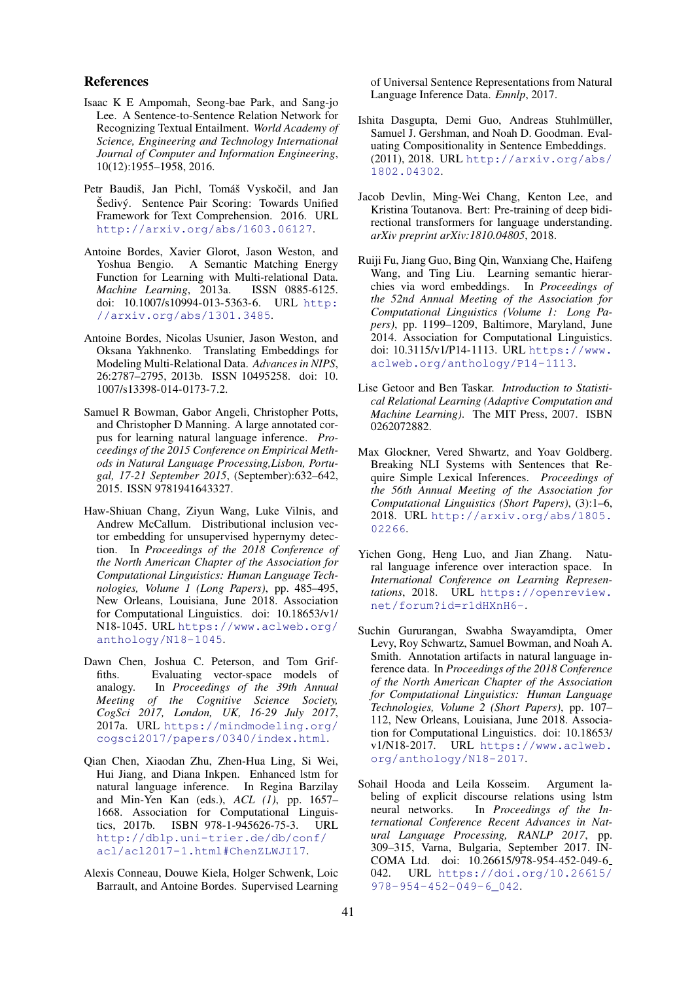#### References

- <span id="page-8-3"></span>Isaac K E Ampomah, Seong-bae Park, and Sang-jo Lee. A Sentence-to-Sentence Relation Network for Recognizing Textual Entailment. *World Academy of Science, Engineering and Technology International Journal of Computer and Information Engineering*, 10(12):1955–1958, 2016.
- <span id="page-8-1"></span>Petr Baudiš, Jan Pichl, Tomáš Vyskočil, and Jan Šedivý. Sentence Pair Scoring: Towards Unified Framework for Text Comprehension. 2016. URL <http://arxiv.org/abs/1603.06127>.
- <span id="page-8-5"></span>Antoine Bordes, Xavier Glorot, Jason Weston, and A Semantic Matching Energy Function for Learning with Multi-relational Data. *Machine Learning*, 2013a. ISSN 0885-6125. doi: 10.1007/s10994-013-5363-6. URL [http:](http://arxiv.org/abs/1301.3485) [//arxiv.org/abs/1301.3485](http://arxiv.org/abs/1301.3485).
- <span id="page-8-6"></span>Antoine Bordes, Nicolas Usunier, Jason Weston, and Oksana Yakhnenko. Translating Embeddings for Modeling Multi-Relational Data. *Advances in NIPS*, 26:2787–2795, 2013b. ISSN 10495258. doi: 10. 1007/s13398-014-0173-7.2.
- <span id="page-8-14"></span>Samuel R Bowman, Gabor Angeli, Christopher Potts, and Christopher D Manning. A large annotated corpus for learning natural language inference. *Proceedings of the 2015 Conference on Empirical Methods in Natural Language Processing,Lisbon, Portugal, 17-21 September 2015*, (September):632–642, 2015. ISSN 9781941643327.
- <span id="page-8-15"></span>Haw-Shiuan Chang, Ziyun Wang, Luke Vilnis, and Andrew McCallum. Distributional inclusion vector embedding for unsupervised hypernymy detection. In *Proceedings of the 2018 Conference of the North American Chapter of the Association for Computational Linguistics: Human Language Technologies, Volume 1 (Long Papers)*, pp. 485–495, New Orleans, Louisiana, June 2018. Association for Computational Linguistics. doi: 10.18653/v1/ N18-1045. URL [https://www.aclweb.org/](https://www.aclweb.org/anthology/N18-1045) [anthology/N18-1045](https://www.aclweb.org/anthology/N18-1045).
- <span id="page-8-10"></span>Dawn Chen, Joshua C. Peterson, and Tom Griffiths. Evaluating vector-space models of analogy. In *Proceedings of the 39th Annual Meeting of the Cognitive Science Society, CogSci 2017, London, UK, 16-29 July 2017*, 2017a. URL [https://mindmodeling.org/](https://mindmodeling.org/cogsci2017/papers/0340/index.html) [cogsci2017/papers/0340/index.html](https://mindmodeling.org/cogsci2017/papers/0340/index.html).
- <span id="page-8-7"></span>Qian Chen, Xiaodan Zhu, Zhen-Hua Ling, Si Wei, Hui Jiang, and Diana Inkpen. Enhanced lstm for natural language inference. In Regina Barzilay and Min-Yen Kan (eds.), *ACL (1)*, pp. 1657– 1668. Association for Computational Linguistics, 2017b. ISBN 978-1-945626-75-3. URL [http://dblp.uni-trier.de/db/conf/](http://dblp.uni-trier.de/db/conf/acl/acl2017-1.html#ChenZLWJI17) [acl/acl2017-1.html#ChenZLWJI17](http://dblp.uni-trier.de/db/conf/acl/acl2017-1.html#ChenZLWJI17).
- <span id="page-8-0"></span>Alexis Conneau, Douwe Kiela, Holger Schwenk, Loic Barrault, and Antoine Bordes. Supervised Learning

of Universal Sentence Representations from Natural Language Inference Data. *Emnlp*, 2017.

- <span id="page-8-11"></span>Ishita Dasgupta, Demi Guo, Andreas Stuhlmüller, Samuel J. Gershman, and Noah D. Goodman. Evaluating Compositionality in Sentence Embeddings. (2011), 2018. URL [http://arxiv.org/abs/](http://arxiv.org/abs/1802.04302) [1802.04302](http://arxiv.org/abs/1802.04302).
- <span id="page-8-9"></span>Jacob Devlin, Ming-Wei Chang, Kenton Lee, and Kristina Toutanova. Bert: Pre-training of deep bidirectional transformers for language understanding. *arXiv preprint arXiv:1810.04805*, 2018.
- <span id="page-8-16"></span>Ruiji Fu, Jiang Guo, Bing Qin, Wanxiang Che, Haifeng Wang, and Ting Liu. Learning semantic hierarchies via word embeddings. In *Proceedings of the 52nd Annual Meeting of the Association for Computational Linguistics (Volume 1: Long Papers)*, pp. 1199–1209, Baltimore, Maryland, June 2014. Association for Computational Linguistics. doi: 10.3115/v1/P14-1113. URL [https://www.](https://www.aclweb.org/anthology/P14-1113) [aclweb.org/anthology/P14-1113](https://www.aclweb.org/anthology/P14-1113).
- <span id="page-8-4"></span>Lise Getoor and Ben Taskar. *Introduction to Statistical Relational Learning (Adaptive Computation and Machine Learning)*. The MIT Press, 2007. ISBN 0262072882.
- <span id="page-8-13"></span>Max Glockner, Vered Shwartz, and Yoav Goldberg. Breaking NLI Systems with Sentences that Require Simple Lexical Inferences. *Proceedings of the 56th Annual Meeting of the Association for Computational Linguistics (Short Papers)*, (3):1–6, 2018. URL [http://arxiv.org/abs/1805.](http://arxiv.org/abs/1805.02266) [02266](http://arxiv.org/abs/1805.02266).
- <span id="page-8-8"></span>Yichen Gong, Heng Luo, and Jian Zhang. Natural language inference over interaction space. In *International Conference on Learning Representations*, 2018. URL [https://openreview.](https://openreview.net/forum?id=r1dHXnH6-) [net/forum?id=r1dHXnH6-](https://openreview.net/forum?id=r1dHXnH6-).
- <span id="page-8-12"></span>Suchin Gururangan, Swabha Swayamdipta, Omer Levy, Roy Schwartz, Samuel Bowman, and Noah A. Smith. Annotation artifacts in natural language inference data. In *Proceedings of the 2018 Conference of the North American Chapter of the Association for Computational Linguistics: Human Language Technologies, Volume 2 (Short Papers)*, pp. 107– 112, New Orleans, Louisiana, June 2018. Association for Computational Linguistics. doi: 10.18653/ v1/N18-2017. URL [https://www.aclweb.](https://www.aclweb.org/anthology/N18-2017) [org/anthology/N18-2017](https://www.aclweb.org/anthology/N18-2017).
- <span id="page-8-2"></span>Sohail Hooda and Leila Kosseim. Argument labeling of explicit discourse relations using lstm neural networks. In *Proceedings of the International Conference Recent Advances in Natural Language Processing, RANLP 2017*, pp. 309–315, Varna, Bulgaria, September 2017. IN-COMA Ltd. doi: 10.26615/978-954-452-049-6 042. URL [https://doi.org/10.26615/](https://doi.org/10.26615/978-954-452-049-6_042) [978-954-452-049-6\\_042](https://doi.org/10.26615/978-954-452-049-6_042).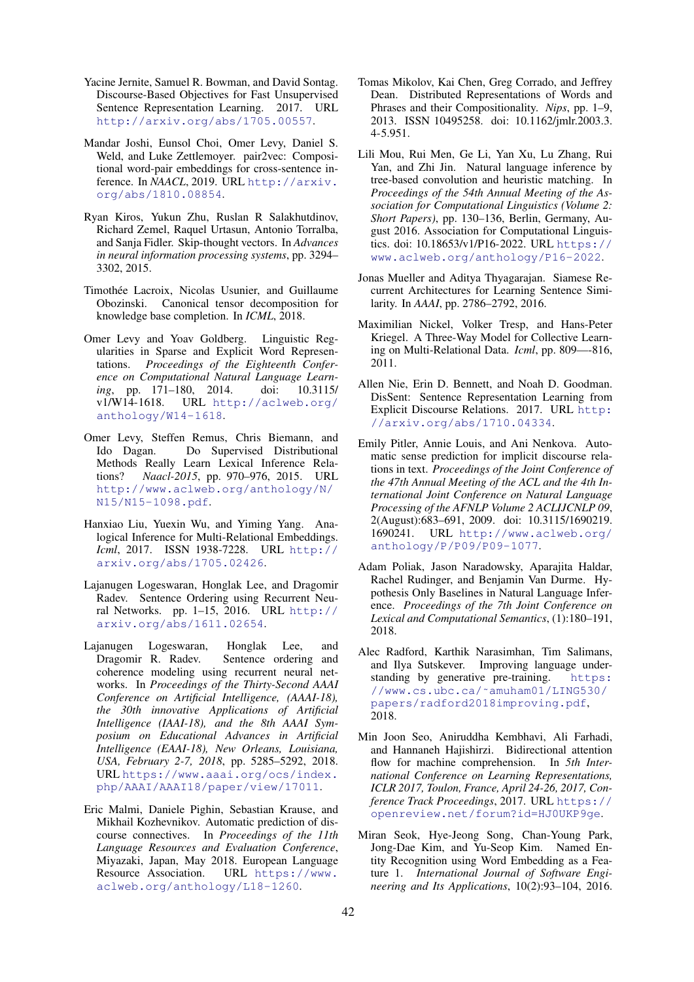- <span id="page-9-1"></span>Yacine Jernite, Samuel R. Bowman, and David Sontag. Discourse-Based Objectives for Fast Unsupervised Sentence Representation Learning. 2017. URL <http://arxiv.org/abs/1705.00557>.
- <span id="page-9-19"></span>Mandar Joshi, Eunsol Choi, Omer Levy, Daniel S. Weld, and Luke Zettlemoyer. pair2vec: Compositional word-pair embeddings for cross-sentence inference. In *NAACL*, 2019. URL [http://arxiv.](http://arxiv.org/abs/1810.08854) [org/abs/1810.08854](http://arxiv.org/abs/1810.08854).
- <span id="page-9-2"></span>Ryan Kiros, Yukun Zhu, Ruslan R Salakhutdinov, Richard Zemel, Raquel Urtasun, Antonio Torralba, and Sanja Fidler. Skip-thought vectors. In *Advances in neural information processing systems*, pp. 3294– 3302, 2015.
- <span id="page-9-10"></span>Timothée Lacroix, Nicolas Usunier, and Guillaume Obozinski. Canonical tensor decomposition for knowledge base completion. In *ICML*, 2018.
- <span id="page-9-16"></span>Omer Levy and Yoav Goldberg. Linguistic Regularities in Sparse and Explicit Word Representations. *Proceedings of the Eighteenth Conference on Computational Natural Language Learning*, pp. 171–180, 2014. doi: 10.3115/ URL [http://aclweb.org/](http://aclweb.org/anthology/W14-1618) [anthology/W14-1618](http://aclweb.org/anthology/W14-1618).
- <span id="page-9-17"></span>Omer Levy, Steffen Remus, Chris Biemann, and Ido Dagan. Do Supervised Distributional Methods Really Learn Lexical Inference Relations? *Naacl-2015*, pp. 970–976, 2015. URL [http://www.aclweb.org/anthology/N/](http://www.aclweb.org/anthology/N/N15/N15-1098.pdf) [N15/N15-1098.pdf](http://www.aclweb.org/anthology/N/N15/N15-1098.pdf).
- <span id="page-9-9"></span>Hanxiao Liu, Yuexin Wu, and Yiming Yang. Analogical Inference for Multi-Relational Embeddings. *Icml*, 2017. ISSN 1938-7228. URL [http://](http://arxiv.org/abs/1705.02426) [arxiv.org/abs/1705.02426](http://arxiv.org/abs/1705.02426).
- <span id="page-9-0"></span>Lajanugen Logeswaran, Honglak Lee, and Dragomir Radev. Sentence Ordering using Recurrent Neural Networks. pp. 1–15, 2016. URL [http://](http://arxiv.org/abs/1611.02654) [arxiv.org/abs/1611.02654](http://arxiv.org/abs/1611.02654).
- <span id="page-9-4"></span>Lajanugen Logeswaran, Honglak Lee, and Dragomir R. Radev. Sentence ordering and coherence modeling using recurrent neural networks. In *Proceedings of the Thirty-Second AAAI Conference on Artificial Intelligence, (AAAI-18), the 30th innovative Applications of Artificial Intelligence (IAAI-18), and the 8th AAAI Symposium on Educational Advances in Artificial Intelligence (EAAI-18), New Orleans, Louisiana, USA, February 2-7, 2018*, pp. 5285–5292, 2018. URL [https://www.aaai.org/ocs/index.](https://www.aaai.org/ocs/index.php/AAAI/AAAI18/paper/view/17011) [php/AAAI/AAAI18/paper/view/17011](https://www.aaai.org/ocs/index.php/AAAI/AAAI18/paper/view/17011).
- <span id="page-9-14"></span>Eric Malmi, Daniele Pighin, Sebastian Krause, and Mikhail Kozhevnikov. Automatic prediction of discourse connectives. In *Proceedings of the 11th Language Resources and Evaluation Conference*, Miyazaki, Japan, May 2018. European Language Resource Association. URL [https://www.](https://www.aclweb.org/anthology/L18-1260) [aclweb.org/anthology/L18-1260](https://www.aclweb.org/anthology/L18-1260).
- <span id="page-9-8"></span>Tomas Mikolov, Kai Chen, Greg Corrado, and Jeffrey Dean. Distributed Representations of Words and Phrases and their Compositionality. *Nips*, pp. 1–9, 2013. ISSN 10495258. doi: 10.1162/jmlr.2003.3. 4-5.951.
- <span id="page-9-6"></span>Lili Mou, Rui Men, Ge Li, Yan Xu, Lu Zhang, Rui Yan, and Zhi Jin. Natural language inference by tree-based convolution and heuristic matching. In *Proceedings of the 54th Annual Meeting of the Association for Computational Linguistics (Volume 2: Short Papers)*, pp. 130–136, Berlin, Germany, August 2016. Association for Computational Linguistics. doi: 10.18653/v1/P16-2022. URL [https://](https://www.aclweb.org/anthology/P16-2022) [www.aclweb.org/anthology/P16-2022](https://www.aclweb.org/anthology/P16-2022).
- <span id="page-9-5"></span>Jonas Mueller and Aditya Thyagarajan. Siamese Recurrent Architectures for Learning Sentence Similarity. In *AAAI*, pp. 2786–2792, 2016.
- <span id="page-9-7"></span>Maximilian Nickel, Volker Tresp, and Hans-Peter Kriegel. A Three-Way Model for Collective Learning on Multi-Relational Data. *Icml*, pp. 809—-816, 2011.
- <span id="page-9-3"></span>Allen Nie, Erin D. Bennett, and Noah D. Goodman. DisSent: Sentence Representation Learning from Explicit Discourse Relations. 2017. URL [http:](http://arxiv.org/abs/1710.04334) [//arxiv.org/abs/1710.04334](http://arxiv.org/abs/1710.04334).
- <span id="page-9-15"></span>Emily Pitler, Annie Louis, and Ani Nenkova. Automatic sense prediction for implicit discourse relations in text. *Proceedings of the Joint Conference of the 47th Annual Meeting of the ACL and the 4th International Joint Conference on Natural Language Processing of the AFNLP Volume 2 ACLIJCNLP 09*, 2(August):683–691, 2009. doi: 10.3115/1690219. 1690241. URL [http://www.aclweb.org/](http://www.aclweb.org/anthology/P/P09/P09-1077) [anthology/P/P09/P09-1077](http://www.aclweb.org/anthology/P/P09/P09-1077).
- <span id="page-9-13"></span>Adam Poliak, Jason Naradowsky, Aparajita Haldar, Rachel Rudinger, and Benjamin Van Durme. Hypothesis Only Baselines in Natural Language Inference. *Proceedings of the 7th Joint Conference on Lexical and Computational Semantics*, (1):180–191, 2018.
- <span id="page-9-12"></span>Alec Radford, Karthik Narasimhan, Tim Salimans, and Ilya Sutskever. Improving language understanding by generative pre-training. [https:](https://www.cs.ubc.ca/~amuham01/LING530/papers/radford2018improving.pdf) [//www.cs.ubc.ca/˜amuham01/LING530/](https://www.cs.ubc.ca/~amuham01/LING530/papers/radford2018improving.pdf) [papers/radford2018improving.pdf](https://www.cs.ubc.ca/~amuham01/LING530/papers/radford2018improving.pdf), 2018.
- <span id="page-9-11"></span>Min Joon Seo, Aniruddha Kembhavi, Ali Farhadi, and Hannaneh Hajishirzi. Bidirectional attention flow for machine comprehension. In *5th International Conference on Learning Representations, ICLR 2017, Toulon, France, April 24-26, 2017, Conference Track Proceedings*, 2017. URL [https://](https://openreview.net/forum?id=HJ0UKP9ge) [openreview.net/forum?id=HJ0UKP9ge](https://openreview.net/forum?id=HJ0UKP9ge).
- <span id="page-9-18"></span>Miran Seok, Hye-Jeong Song, Chan-Young Park, Jong-Dae Kim, and Yu-Seop Kim. Named Entity Recognition using Word Embedding as a Feature 1. *International Journal of Software Engineering and Its Applications*, 10(2):93–104, 2016.